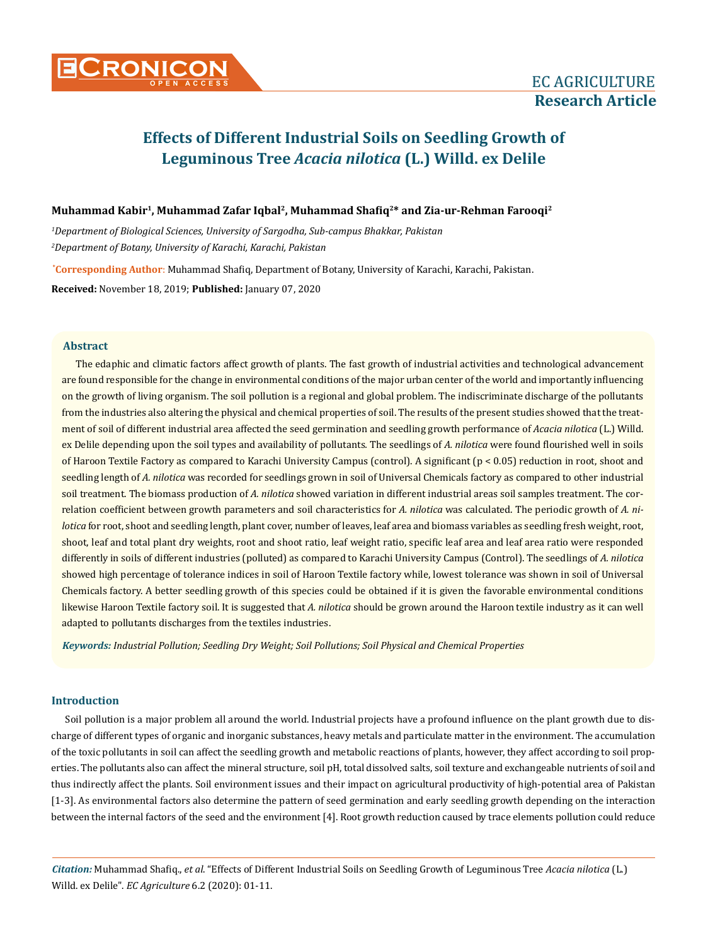# **Muhammad Kabir1, Muhammad Zafar Iqbal2, Muhammad Shafiq2\* and Zia-ur-Rehman Farooqi2**

*1 Department of Biological Sciences, University of Sargodha, Sub-campus Bhakkar, Pakistan 2 Department of Botany, University of Karachi, Karachi, Pakistan*

**\* Corresponding Author**: Muhammad Shafiq, Department of Botany, University of Karachi, Karachi, Pakistan.

**Received:** November 18, 2019; **Published:** January 07, 2020

# **Abstract**

The edaphic and climatic factors affect growth of plants. The fast growth of industrial activities and technological advancement are found responsible for the change in environmental conditions of the major urban center of the world and importantly influencing on the growth of living organism. The soil pollution is a regional and global problem. The indiscriminate discharge of the pollutants from the industries also altering the physical and chemical properties of soil. The results of the present studies showed that the treatment of soil of different industrial area affected the seed germination and seedling growth performance of *Acacia nilotica* (L.) Willd. ex Delile depending upon the soil types and availability of pollutants*.* The seedlings of *A. nilotica* were found flourished well in soils of Haroon Textile Factory as compared to Karachi University Campus (control). A significant (p < 0.05) reduction in root, shoot and seedling length of *A. nilotica* was recorded for seedlings grown in soil of Universal Chemicals factory as compared to other industrial soil treatment. The biomass production of *A. nilotica* showed variation in different industrial areas soil samples treatment. The correlation coefficient between growth parameters and soil characteristics for *A. nilotica* was calculated. The periodic growth of *A. nilotica* for root, shoot and seedling length, plant cover, number of leaves, leaf area and biomass variables as seedling fresh weight, root, shoot, leaf and total plant dry weights, root and shoot ratio, leaf weight ratio, specific leaf area and leaf area ratio were responded differently in soils of different industries (polluted) as compared to Karachi University Campus (Control). The seedlings of *A. nilotica*  showed high percentage of tolerance indices in soil of Haroon Textile factory while, lowest tolerance was shown in soil of Universal Chemicals factory. A better seedling growth of this species could be obtained if it is given the favorable environmental conditions likewise Haroon Textile factory soil. It is suggested that *A. nilotica* should be grown around the Haroon textile industry as it can well adapted to pollutants discharges from the textiles industries.

*Keywords: Industrial Pollution; Seedling Dry Weight; Soil Pollutions; Soil Physical and Chemical Properties*

# **Introduction**

Soil pollution is a major problem all around the world. Industrial projects have a profound influence on the plant growth due to discharge of different types of organic and inorganic substances, heavy metals and particulate matter in the environment. The accumulation of the toxic pollutants in soil can affect the seedling growth and metabolic reactions of plants, however, they affect according to soil properties. The pollutants also can affect the mineral structure, soil pH, total dissolved salts, soil texture and exchangeable nutrients of soil and thus indirectly affect the plants. Soil environment issues and their impact on agricultural productivity of high-potential area of Pakistan [1-3]. As environmental factors also determine the pattern of seed germination and early seedling growth depending on the interaction between the internal factors of the seed and the environment [4]. Root growth reduction caused by trace elements pollution could reduce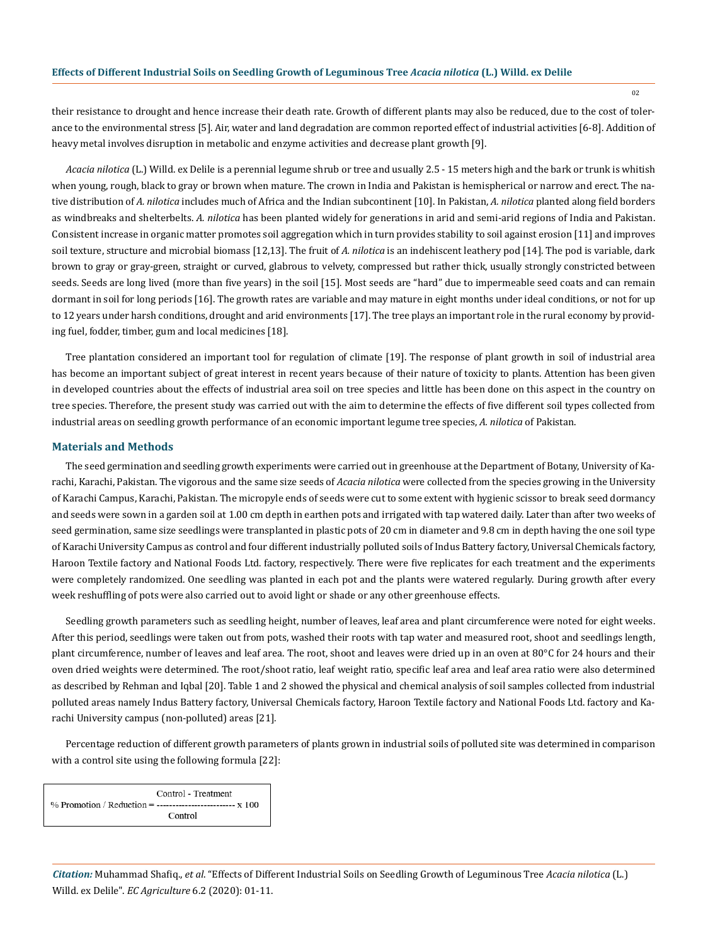their resistance to drought and hence increase their death rate. Growth of different plants may also be reduced, due to the cost of tolerance to the environmental stress [5]. Air, water and land degradation are common reported effect of industrial activities [6-8]. Addition of heavy metal involves disruption in metabolic and enzyme activities and decrease plant growth [9].

*Acacia nilotica* (L.) Willd. ex Delile is a perennial legume shrub or tree and usually 2.5 - 15 meters high and the bark or trunk is whitish when young, rough, black to gray or brown when mature. The crown in India and Pakistan is hemispherical or narrow and erect. The native distribution of *A. nilotica* includes much of Africa and the Indian subcontinent [10]. In Pakistan, *A. nilotica* planted along field borders as windbreaks and shelterbelts. *A. nilotica* has been planted widely for generations in arid and semi-arid regions of India and Pakistan. Consistent increase in organic matter promotes soil aggregation which in turn provides stability to soil against erosion [11] and improves soil texture, structure and microbial biomass [12,13]. The fruit of *A. nilotica* is an indehiscent leathery pod [14]. The pod is variable, dark brown to gray or gray-green, straight or curved, glabrous to velvety, compressed but rather thick, usually strongly constricted between seeds. Seeds are long lived (more than five years) in the soil [15]. Most seeds are "hard" due to impermeable seed coats and can remain dormant in soil for long periods [16]. The growth rates are variable and may mature in eight months under ideal conditions, or not for up to 12 years under harsh conditions, drought and arid environments [17]. The tree plays an important role in the rural economy by providing fuel, fodder, timber, gum and local medicines [18].

Tree plantation considered an important tool for regulation of climate [19]. The response of plant growth in soil of industrial area has become an important subject of great interest in recent years because of their nature of toxicity to plants. Attention has been given in developed countries about the effects of industrial area soil on tree species and little has been done on this aspect in the country on tree species. Therefore, the present study was carried out with the aim to determine the effects of five different soil types collected from industrial areas on seedling growth performance of an economic important legume tree species, *A. nilotica* of Pakistan.

#### **Materials and Methods**

The seed germination and seedling growth experiments were carried out in greenhouse at the Department of Botany, University of Karachi, Karachi, Pakistan. The vigorous and the same size seeds of *Acacia nilotica* were collected from the species growing in the University of Karachi Campus, Karachi, Pakistan. The micropyle ends of seeds were cut to some extent with hygienic scissor to break seed dormancy and seeds were sown in a garden soil at 1.00 cm depth in earthen pots and irrigated with tap watered daily. Later than after two weeks of seed germination, same size seedlings were transplanted in plastic pots of 20 cm in diameter and 9.8 cm in depth having the one soil type of Karachi University Campus as control and four different industrially polluted soils of Indus Battery factory, Universal Chemicals factory, Haroon Textile factory and National Foods Ltd. factory, respectively. There were five replicates for each treatment and the experiments were completely randomized. One seedling was planted in each pot and the plants were watered regularly. During growth after every week reshuffling of pots were also carried out to avoid light or shade or any other greenhouse effects.

Seedling growth parameters such as seedling height, number of leaves, leaf area and plant circumference were noted for eight weeks. After this period, seedlings were taken out from pots, washed their roots with tap water and measured root, shoot and seedlings length, plant circumference, number of leaves and leaf area. The root, shoot and leaves were dried up in an oven at 80°C for 24 hours and their oven dried weights were determined. The root/shoot ratio, leaf weight ratio, specific leaf area and leaf area ratio were also determined as described by Rehman and Iqbal [20]. Table 1 and 2 showed the physical and chemical analysis of soil samples collected from industrial polluted areas namely Indus Battery factory, Universal Chemicals factory, Haroon Textile factory and National Foods Ltd. factory and Karachi University campus (non-polluted) areas [21]*.*

Percentage reduction of different growth parameters of plants grown in industrial soils of polluted site was determined in comparison with a control site using the following formula [22]:

Control - Treatment % Promotion / Reduction = --------------------------- x 100 Control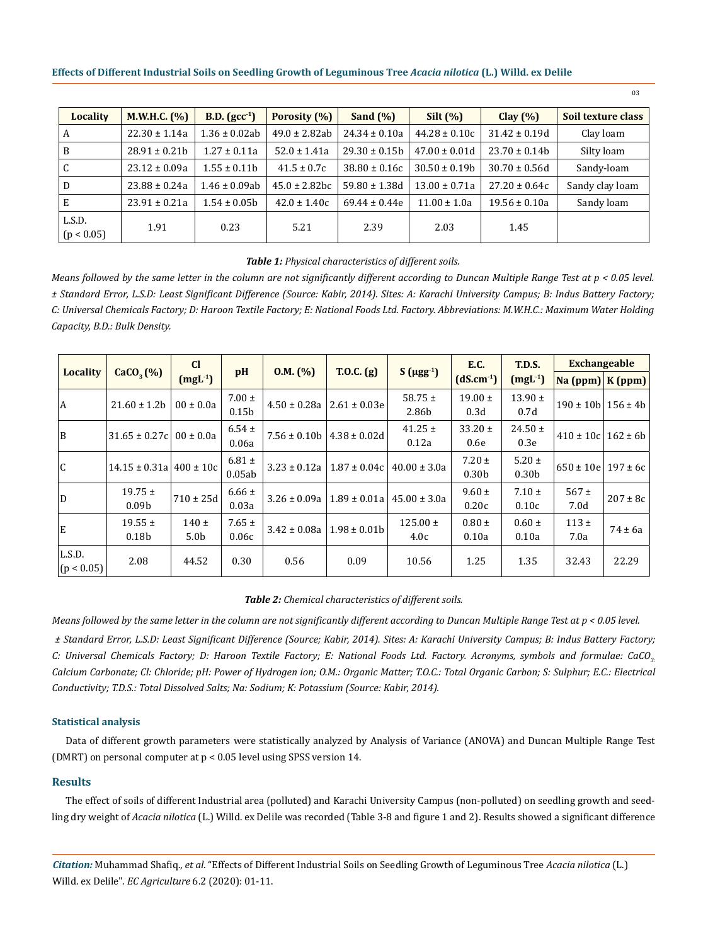| Locality             | M.W.H.C. (%)      | <b>B.D.</b> $(gcc^{-1})$ | Porosity (%)       | Sand $(\%)$        | Silt $(\%)$       | Clay $(\% )$       | Soil texture class |
|----------------------|-------------------|--------------------------|--------------------|--------------------|-------------------|--------------------|--------------------|
| A                    | $22.30 \pm 1.14a$ | $1.36 \pm 0.02$ ab       | $49.0 \pm 2.82ab$  | $24.34 \pm 0.10a$  | $44.28 \pm 0.10c$ | $31.42 \pm 0.19d$  | Clay loam          |
| B                    | $28.91 \pm 0.21$  | $1.27 \pm 0.11a$         | $52.0 \pm 1.41a$   | $29.30 \pm 0.15b$  | $47.00 \pm 0.01d$ | $23.70 \pm 0.14b$  | Silty loam         |
| C                    | $23.12 \pm 0.09a$ | $1.55 \pm 0.11b$         | $41.5 \pm 0.7c$    | $38.80 \pm 0.16c$  | $30.50 \pm 0.19b$ | $30.70 \pm 0.56$ d | Sandy-loam         |
| D                    | $23.88 \pm 0.24a$ | $1.46 \pm 0.09$ ab       | $45.0 \pm 2.82$ bc | $59.80 \pm 1.38$ d | $13.00 \pm 0.71a$ | $27.20 \pm 0.64c$  | Sandy clay loam    |
| Ε                    | $23.91 \pm 0.21a$ | $1.54 \pm 0.05b$         | $42.0 \pm 1.40c$   | $69.44 \pm 0.44e$  | $11.00 \pm 1.0a$  | $19.56 \pm 0.10a$  | Sandy loam         |
| L.S.D.<br>(p < 0.05) | 1.91              | 0.23                     | 5.21               | 2.39               | 2.03              | 1.45               |                    |

# *Table 1: Physical characteristics of different soils.*

*Means followed by the same letter in the column are not significantly different according to Duncan Multiple Range Test at p < 0.05 level. ± Standard Error, L.S.D: Least Significant Difference (Source: Kabir, 2014). Sites: A: Karachi University Campus; B: Indus Battery Factory; C: Universal Chemicals Factory; D: Haroon Textile Factory; E: National Foods Ltd. Factory. Abbreviations: M.W.H.C.: Maximum Water Holding Capacity, B.D.: Bulk Density.*

|                      |                                  | <b>CI</b>                     |                                 |                  |                  | T.0.C. <sub>(g)</sub> |                                 | T.D.S.                          | <b>Exchangeable</b>                                 |              |
|----------------------|----------------------------------|-------------------------------|---------------------------------|------------------|------------------|-----------------------|---------------------------------|---------------------------------|-----------------------------------------------------|--------------|
| <b>Locality</b>      | CaCO <sub>3</sub> (%)            | $(mgl-1)$                     | pH                              | 0.M. (%)         |                  | $S(\mu gg^{-1})$      | $(dS.cm^{-1})$                  | $(mgL-1)$                       | $\left \frac{N}{2}$ (ppm) $\left \frac{K}{2}$ (ppm) |              |
| A                    | $21.60 \pm 1.2b$                 | $00 \pm 0.0a$                 | $7.00 \pm$<br>0.15 <sub>b</sub> | $4.50 \pm 0.28a$ | $2.61 \pm 0.03e$ | 58.75 $\pm$<br>2.86b  | $19.00 \pm$<br>0.3d             | $13.90 \pm$<br>0.7d             | $190 \pm 10b$   156 $\pm$ 4b                        |              |
| B                    | $31.65 \pm 0.27c$                | $00 \pm 0.0a$                 | $6.54 \pm$<br>0.06a             | $7.56 \pm 0.10b$ | $4.38 \pm 0.02d$ | $41.25 \pm$<br>0.12a  | $33.20 \pm$<br>0.6e             | $24.50 \pm$<br>0.3e             | $410 \pm 10c$                                       | $162 \pm 6b$ |
| C                    | $14.15 \pm 0.31a$                | $400 \pm 10c$                 | $6.81 \pm$<br>0.05ab            | $3.23 \pm 0.12a$ | $1.87 \pm 0.04c$ | $40.00 \pm 3.0a$      | $7.20 \pm$<br>0.30 <sub>b</sub> | $5.20 \pm$<br>0.30 <sub>b</sub> | $650 \pm 10e$                                       | $197 \pm 6c$ |
| D                    | $19.75 \pm$<br>0.09 <sub>b</sub> | $710 \pm 25d$                 | $6.66 \pm$<br>0.03a             | $3.26 \pm 0.09a$ | $1.89 \pm 0.01a$ | $45.00 \pm 3.0a$      | $9.60 \pm$<br>0.20c             | $7.10 \pm$<br>0.10c             | $567 \pm$<br>7.0d                                   | $207 \pm 8c$ |
| E                    | $19.55 \pm$<br>0.18 <sub>b</sub> | $140 \pm$<br>5.0 <sub>b</sub> | $7.65 \pm$<br>0.06c             | $3.42 \pm 0.08a$ | $1.98 \pm 0.01$  | $125.00 \pm$<br>4.0c  | $0.80 \pm$<br>0.10a             | $0.60 \pm$<br>0.10a             | $113 \pm$<br>7.0a                                   | $74 \pm 6a$  |
| L.S.D.<br>(p < 0.05) | 2.08                             | 44.52                         | 0.30                            | 0.56             | 0.09             | 10.56                 | 1.25                            | 1.35                            | 32.43                                               | 22.29        |

#### *Table 2: Chemical characteristics of different soils.*

*Means followed by the same letter in the column are not significantly different according to Duncan Multiple Range Test at p < 0.05 level. ± Standard Error, L.S.D: Least Significant Difference (Source; Kabir, 2014). Sites: A: Karachi University Campus; B: Indus Battery Factory; C: Universal Chemicals Factory; D: Haroon Textile Factory; E: National Foods Ltd. Factory. Acronyms, symbols and formulae: CaCO3: Calcium Carbonate; Cl: Chloride; pH: Power of Hydrogen ion; O.M.: Organic Matter; T.O.C.: Total Organic Carbon; S: Sulphur; E.C.: Electrical Conductivity; T.D.S.: Total Dissolved Salts; Na: Sodium; K: Potassium (Source: Kabir, 2014).*

#### **Statistical analysis**

Data of different growth parameters were statistically analyzed by Analysis of Variance (ANOVA) and Duncan Multiple Range Test (DMRT) on personal computer at p < 0.05 level using SPSS version 14.

# **Results**

The effect of soils of different Industrial area (polluted) and Karachi University Campus (non-polluted) on seedling growth and seedling dry weight of *Acacia nilotica* (L.) Willd. ex Delile was recorded (Table 3-8 and figure 1 and 2). Results showed a significant difference

<sup>03</sup>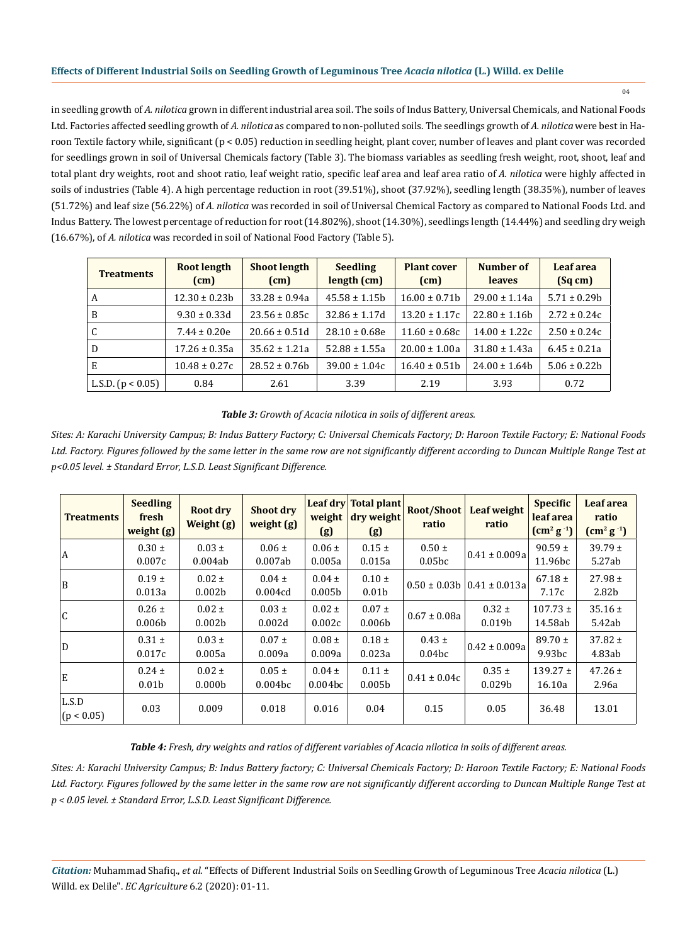in seedling growth of *A. nilotica* grown in different industrial area soil. The soils of Indus Battery, Universal Chemicals, and National Foods Ltd. Factories affected seedling growth of *A. nilotica* as compared to non-polluted soils. The seedlings growth of *A. nilotica* were best in Haroon Textile factory while, significant (p < 0.05) reduction in seedling height, plant cover, number of leaves and plant cover was recorded for seedlings grown in soil of Universal Chemicals factory (Table 3). The biomass variables as seedling fresh weight, root, shoot, leaf and total plant dry weights, root and shoot ratio, leaf weight ratio, specific leaf area and leaf area ratio of *A. nilotica* were highly affected in soils of industries (Table 4). A high percentage reduction in root (39.51%), shoot (37.92%), seedling length (38.35%), number of leaves (51.72%) and leaf size (56.22%) of *A. nilotica* was recorded in soil of Universal Chemical Factory as compared to National Foods Ltd. and Indus Battery. The lowest percentage of reduction for root (14.802%), shoot (14.30%), seedlings length (14.44%) and seedling dry weigh (16.67%), of *A. nilotica* was recorded in soil of National Food Factory (Table 5).

| <b>Treatments</b>   | <b>Root length</b><br>(cm) | <b>Shoot length</b><br>(cm) | <b>Seedling</b><br>length (cm) | <b>Plant cover</b><br>(cm) | Number of<br><b>leaves</b> | Leaf area<br>(Sq cm) |
|---------------------|----------------------------|-----------------------------|--------------------------------|----------------------------|----------------------------|----------------------|
| A                   | $12.30 \pm 0.23b$          | $33.28 \pm 0.94a$           | $45.58 \pm 1.15b$              | $16.00 \pm 0.71$           | $29.00 \pm 1.14a$          | $5.71 \pm 0.29b$     |
| B                   | $9.30 \pm 0.33$ d          | $23.56 \pm 0.85c$           | $32.86 \pm 1.17d$              | $13.20 \pm 1.17c$          | $22.80 \pm 1.16b$          | $2.72 \pm 0.24c$     |
| C                   | $7.44 \pm 0.20e$           | $20.66 \pm 0.51d$           | $28.10 \pm 0.68e$              | $11.60 \pm 0.68c$          | $14.00 \pm 1.22c$          | $2.50 \pm 0.24c$     |
| D                   | $17.26 \pm 0.35a$          | $35.62 \pm 1.21a$           | $52.88 \pm 1.55a$              | $20.00 \pm 1.00a$          | $31.80 \pm 1.43a$          | $6.45 \pm 0.21a$     |
| E                   | $10.48 \pm 0.27c$          | $28.52 \pm 0.76h$           | $39.00 \pm 1.04c$              | $16.40 \pm 0.51b$          | $24.00 \pm 1.64$           | $5.06 \pm 0.22b$     |
| L.S.D. $(p < 0.05)$ | 0.84                       | 2.61                        | 3.39                           | 2.19                       | 3.93                       | 0.72                 |

*Table 3: Growth of Acacia nilotica in soils of different areas.*

*Sites: A: Karachi University Campus; B: Indus Battery Factory; C: Universal Chemicals Factory; D: Haroon Textile Factory; E: National Foods Ltd. Factory. Figures followed by the same letter in the same row are not significantly different according to Duncan Multiple Range Test at p<0.05 level. ± Standard Error, L.S.D. Least Significant Difference.*

| <b>Treatments</b>   | <b>Seedling</b><br>fresh<br>weight (g) | <b>Root dry</b><br>Weight (g)    | <b>Shoot dry</b><br>weight (g)    | weight<br>(g)                     | Leaf dry Total plant<br>dry weight<br>(g) | <b>Root/Shoot</b><br>ratio       | Leaf weight<br>ratio                  | <b>Specific</b><br>leaf area<br>$\left(\text{cm}^{2} \text{ g}^{-1}\right)$ | Leaf area<br>ratio<br>$\left(\text{cm}^2 \text{ g}^{-1}\right)$ |
|---------------------|----------------------------------------|----------------------------------|-----------------------------------|-----------------------------------|-------------------------------------------|----------------------------------|---------------------------------------|-----------------------------------------------------------------------------|-----------------------------------------------------------------|
| l A                 | $0.30 \pm$<br>0.007c                   | $0.03 \pm$<br>0.004ab            | $0.06 \pm$<br>0.007ab             | $0.06 \pm$<br>0.005a              | $0.15 \pm$<br>0.015a                      | $0.50 \pm$<br>0.05 <sub>bc</sub> | $0.41 \pm 0.009a$                     | $90.59 \pm$<br>11.96bc                                                      | $39.79 \pm$<br>5.27ab                                           |
| ΙB.                 | $0.19 \pm$<br>0.013a                   | $0.02 \pm$<br>0.002 <sub>b</sub> | $0.04 \pm$<br>0.004cd             | $0.04 \pm$<br>0.005 <sub>b</sub>  | $0.10 \pm$<br>0.01 <sub>b</sub>           |                                  | $0.50 \pm 0.03b \mid 0.41 \pm 0.013a$ | $67.18 \pm$<br>7.17c                                                        | $27.98 \pm$<br>2.82b                                            |
| l C                 | $0.26 \pm$<br>0.006 <sub>b</sub>       | $0.02 \pm$<br>0.002 <sub>b</sub> | $0.03 \pm$<br>0.002d              | $0.02 \pm$<br>0.002c              | $0.07 \pm$<br>0.006 <sub>b</sub>          | $0.67 \pm 0.08a$                 | $0.32 \pm$<br>0.019b                  | $107.73 \pm$<br>14.58ab                                                     | $35.16 \pm$<br>5.42ab                                           |
| D                   | $0.31 \pm$<br>0.017c                   | $0.03 \pm$<br>0.005a             | $0.07 \pm$<br>0.009a              | $0.08 \pm$<br>0.009a              | $0.18 \pm$<br>0.023a                      | $0.43 \pm$<br>0.04 <sub>bc</sub> | $0.42 \pm 0.009a$                     | $89.70 \pm$<br>9.93bc                                                       | $37.82 \pm$<br>4.83ab                                           |
| ΙE                  | $0.24 \pm$<br>0.01 <sub>b</sub>        | $0.02 \pm$<br>0.000 <sub>b</sub> | $0.05 \pm$<br>0.004 <sub>bc</sub> | $0.04 \pm$<br>0.004 <sub>bc</sub> | $0.11 \pm$<br>0.005 <sub>b</sub>          | $0.41 \pm 0.04c$                 | $0.35 \pm$<br>0.029 <sub>b</sub>      | $139.27 \pm$<br>16.10a                                                      | $47.26 \pm$<br>2.96a                                            |
| L.S.D<br>(p < 0.05) | 0.03                                   | 0.009                            | 0.018                             | 0.016                             | 0.04                                      | 0.15                             | 0.05                                  | 36.48                                                                       | 13.01                                                           |

*Table 4: Fresh, dry weights and ratios of different variables of Acacia nilotica in soils of different areas.*

*Sites: A: Karachi University Campus; B: Indus Battery factory; C: Universal Chemicals Factory; D: Haroon Textile Factory; E: National Foods*  Ltd. Factory. Figures followed by the same letter in the same row are not significantly different according to Duncan Multiple Range Test at *p < 0.05 level. ± Standard Error, L.S.D. Least Significant Difference.*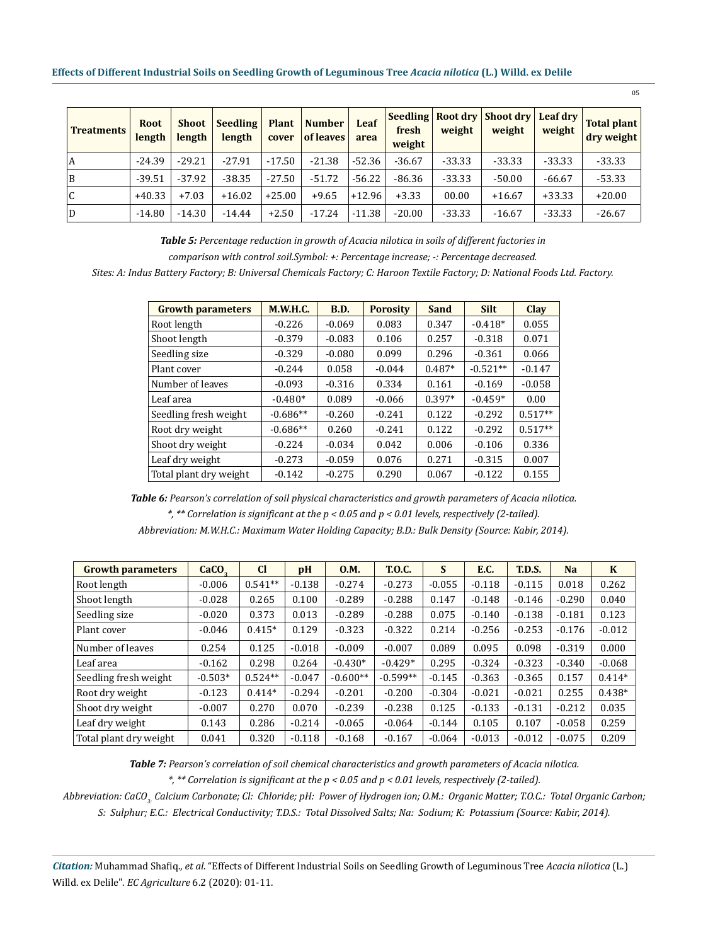| <b>Treatments</b>       | <b>Root</b><br>length | Shoot  <br>length | Seedling<br>length | cover    | <b>Plant   Number</b><br>of leaves | Leaf<br>area | fresh<br>weight | weight   | Seedling   Root dry   Shoot dry   Leaf dry  <br>weight | weight   | Total plant<br>dry weight |
|-------------------------|-----------------------|-------------------|--------------------|----------|------------------------------------|--------------|-----------------|----------|--------------------------------------------------------|----------|---------------------------|
| l A                     | $-24.39$              | $-29.21$          | $-27.91$           | $-17.50$ | $-21.38$                           | -52.36       | $-36.67$        | $-33.33$ | $-33.33$                                               | $-33.33$ | $-33.33$                  |
| <sup>B</sup>            | $-39.51$              | $-37.92$          | $-38.35$           | $-27.50$ | $-51.72$                           | $-56.22$     | $-86.36$        | $-33.33$ | $-50.00$                                               | $-66.67$ | $-53.33$                  |
| $\overline{\mathsf{C}}$ | $+40.33$              | $+7.03$           | $+16.02$           | $+25.00$ | $+9.65$                            | $+12.96$     | $+3.33$         | 00.00    | $+16.67$                                               | $+33.33$ | $+20.00$                  |
| D                       | $-14.80$              | $-14.30$          | $-14.44$           | $+2.50$  | $-17.24$                           | $-11.38$     | $-20.00$        | $-33.33$ | $-16.67$                                               | $-33.33$ | $-26.67$                  |

*Table 5: Percentage reduction in growth of Acacia nilotica in soils of different factories in comparison with control soil.Symbol: +: Percentage increase; -: Percentage decreased.*

*Sites: A: Indus Battery Factory; B: Universal Chemicals Factory; C: Haroon Textile Factory; D: National Foods Ltd. Factory.*

| <b>Growth parameters</b> | <b>M.W.H.C.</b> | <b>B.D.</b> | <b>Porosity</b> | Sand     | <b>Silt</b> | <b>Clay</b> |
|--------------------------|-----------------|-------------|-----------------|----------|-------------|-------------|
| Root length              | $-0.226$        | $-0.069$    | 0.083           | 0.347    | $-0.418*$   | 0.055       |
| Shoot length             | $-0.379$        | $-0.083$    | 0.106           | 0.257    | $-0.318$    | 0.071       |
| Seedling size            | $-0.329$        | $-0.080$    | 0.099           | 0.296    | $-0.361$    | 0.066       |
| Plant cover              | $-0.244$        | 0.058       | $-0.044$        | $0.487*$ | $-0.521**$  | $-0.147$    |
| Number of leaves         | $-0.093$        | $-0.316$    | 0.334           | 0.161    | $-0.169$    | $-0.058$    |
| Leaf area                | $-0.480*$       | 0.089       | $-0.066$        | $0.397*$ | $-0.459*$   | 0.00        |
| Seedling fresh weight    | $-0.686**$      | $-0.260$    | $-0.241$        | 0.122    | $-0.292$    | $0.517**$   |
| Root dry weight          | $-0.686**$      | 0.260       | $-0.241$        | 0.122    | $-0.292$    | $0.517**$   |
| Shoot dry weight         | $-0.224$        | $-0.034$    | 0.042           | 0.006    | $-0.106$    | 0.336       |
| Leaf dry weight          | $-0.273$        | $-0.059$    | 0.076           | 0.271    | $-0.315$    | 0.007       |
| Total plant dry weight   | $-0.142$        | $-0.275$    | 0.290           | 0.067    | $-0.122$    | 0.155       |

*Table 6: Pearson's correlation of soil physical characteristics and growth parameters of Acacia nilotica. \*, \*\* Correlation is significant at the p < 0.05 and p < 0.01 levels, respectively (2-tailed). Abbreviation: M.W.H.C.: Maximum Water Holding Capacity; B.D.: Bulk Density (Source: Kabir, 2014).*

| <b>Growth parameters</b> | CaCO <sub>2</sub> | <sub>Cl</sub> | pH       | 0.M.       | <b>T.O.C.</b> | S        | <b>E.C.</b> | <b>T.D.S.</b> | <b>Na</b> | K        |
|--------------------------|-------------------|---------------|----------|------------|---------------|----------|-------------|---------------|-----------|----------|
| Root length              | $-0.006$          | $0.541**$     | $-0.138$ | $-0.274$   | $-0.273$      | $-0.055$ | $-0.118$    | $-0.115$      | 0.018     | 0.262    |
| Shoot length             | $-0.028$          | 0.265         | 0.100    | $-0.289$   | $-0.288$      | 0.147    | $-0.148$    | $-0.146$      | $-0.290$  | 0.040    |
| Seedling size            | $-0.020$          | 0.373         | 0.013    | $-0.289$   | $-0.288$      | 0.075    | $-0.140$    | $-0.138$      | $-0.181$  | 0.123    |
| Plant cover              | $-0.046$          | $0.415*$      | 0.129    | $-0.323$   | $-0.322$      | 0.214    | $-0.256$    | $-0.253$      | $-0.176$  | $-0.012$ |
| Number of leaves         | 0.254             | 0.125         | $-0.018$ | $-0.009$   | $-0.007$      | 0.089    | 0.095       | 0.098         | $-0.319$  | 0.000    |
| Leaf area                | $-0.162$          | 0.298         | 0.264    | $-0.430*$  | $-0.429*$     | 0.295    | $-0.324$    | $-0.323$      | $-0.340$  | $-0.068$ |
| Seedling fresh weight    | $-0.503*$         | $0.524**$     | $-0.047$ | $-0.600**$ | $-0.599**$    | $-0.145$ | $-0.363$    | $-0.365$      | 0.157     | $0.414*$ |
| Root dry weight          | $-0.123$          | $0.414*$      | $-0.294$ | $-0.201$   | $-0.200$      | $-0.304$ | $-0.021$    | $-0.021$      | 0.255     | $0.438*$ |
| Shoot dry weight         | $-0.007$          | 0.270         | 0.070    | $-0.239$   | $-0.238$      | 0.125    | $-0.133$    | $-0.131$      | $-0.212$  | 0.035    |
| Leaf dry weight          | 0.143             | 0.286         | $-0.214$ | $-0.065$   | $-0.064$      | $-0.144$ | 0.105       | 0.107         | $-0.058$  | 0.259    |
| Total plant dry weight   | 0.041             | 0.320         | $-0.118$ | $-0.168$   | $-0.167$      | $-0.064$ | $-0.013$    | $-0.012$      | $-0.075$  | 0.209    |

*Table 7: Pearson's correlation of soil chemical characteristics and growth parameters of Acacia nilotica.*

*\*, \*\* Correlation is significant at the p < 0.05 and p < 0.01 levels, respectively (2-tailed).*

*Abbreviation: CaCO3: Calcium Carbonate; Cl: Chloride; pH: Power of Hydrogen ion; O.M.: Organic Matter; T.O.C.: Total Organic Carbon; S: Sulphur; E.C.: Electrical Conductivity; T.D.S.: Total Dissolved Salts; Na: Sodium; K: Potassium (Source: Kabir, 2014).*

*Citation:* Muhammad Shafiq., *et al*. "Effects of Different Industrial Soils on Seedling Growth of Leguminous Tree *Acacia nilotica* (L.) Willd. ex Delile". *EC Agriculture* 6.2 (2020): 01-11.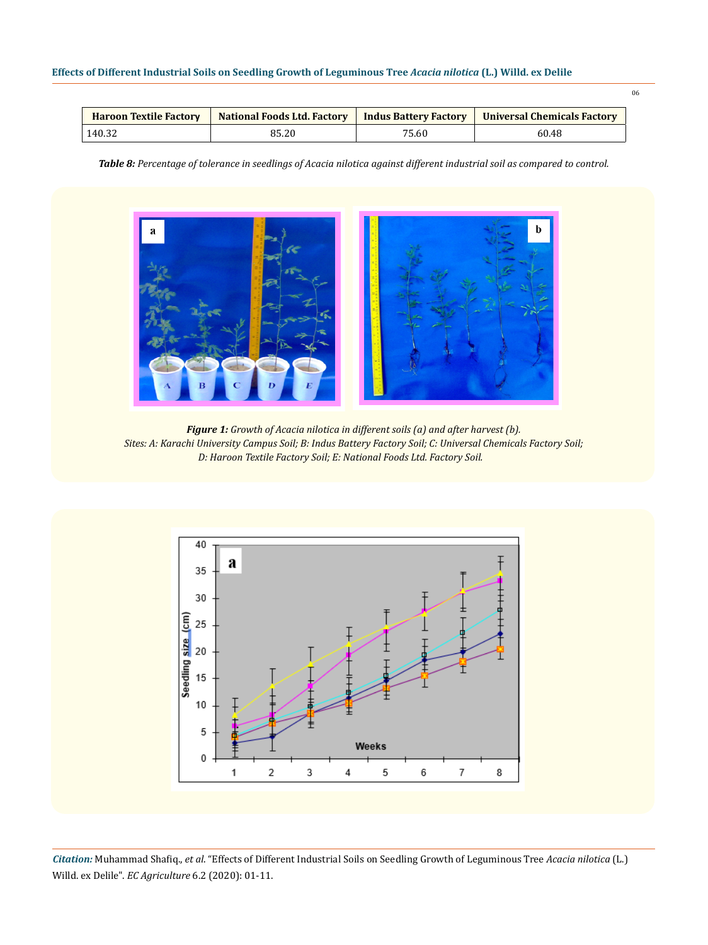| <b>Haroon Textile Factory</b> | National Foods Ltd. Factory   Indus Battery Factory |       | <b>Universal Chemicals Factory</b> |  |
|-------------------------------|-----------------------------------------------------|-------|------------------------------------|--|
| 140.32                        | 85.20                                               | 75.60 | 60.48                              |  |

*Table 8: Percentage of tolerance in seedlings of Acacia nilotica against different industrial soil as compared to control.*



*Figure 1: Growth of Acacia nilotica in different soils (a) and after harvest (b). Sites: A: Karachi University Campus Soil; B: Indus Battery Factory Soil; C: Universal Chemicals Factory Soil; D: Haroon Textile Factory Soil; E: National Foods Ltd. Factory Soil.*

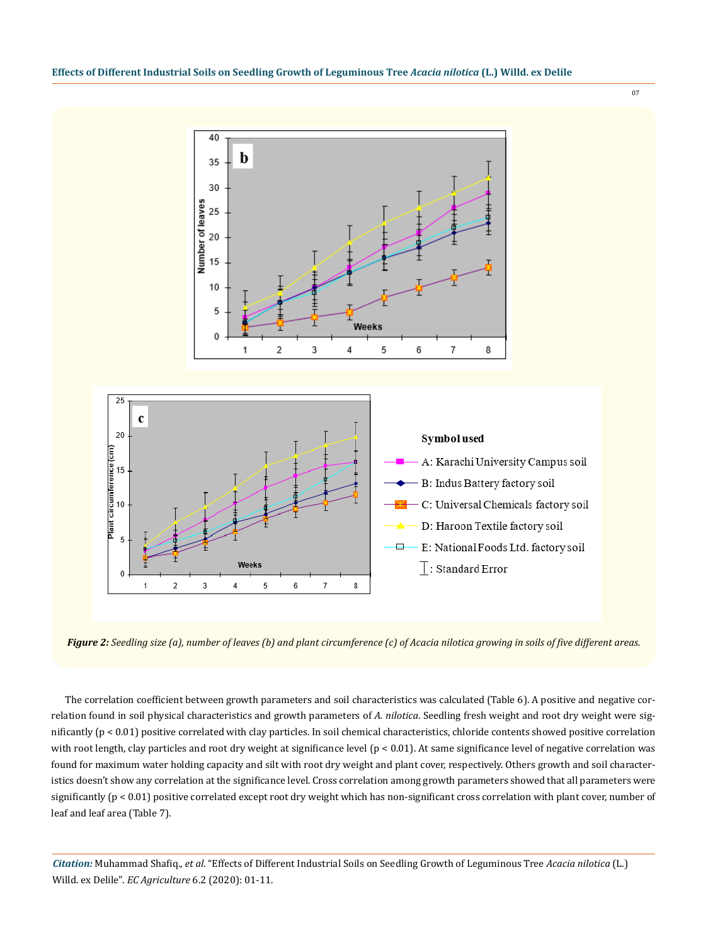

*Figure 2: Seedling size (a), number of leaves (b) and plant circumference (c) of Acacia nilotica growing in soils of five different areas.*

 $\mathbf{1}$ 

 $\sqrt{2}$ 

 $\overline{4}$ 

3

 $\,$  5  $\,$ 

6

 $\overline{7}$ 

The correlation coefficient between growth parameters and soil characteristics was calculated (Table 6). A positive and negative correlation found in soil physical characteristics and growth parameters of *A. nilotica*. Seedling fresh weight and root dry weight were significantly (p < 0.01) positive correlated with clay particles. In soil chemical characteristics, chloride contents showed positive correlation with root length, clay particles and root dry weight at significance level (p < 0.01). At same significance level of negative correlation was found for maximum water holding capacity and silt with root dry weight and plant cover, respectively. Others growth and soil characteristics doesn't show any correlation at the significance level. Cross correlation among growth parameters showed that all parameters were significantly  $(p < 0.01)$  positive correlated except root dry weight which has non-significant cross correlation with plant cover, number of leaf and leaf area (Table 7).

*Citation:* Muhammad Shafiq., *et al*. "Effects of Different Industrial Soils on Seedling Growth of Leguminous Tree *Acacia nilotica* (L.) Willd. ex Delile". *EC Agriculture* 6.2 (2020): 01-11.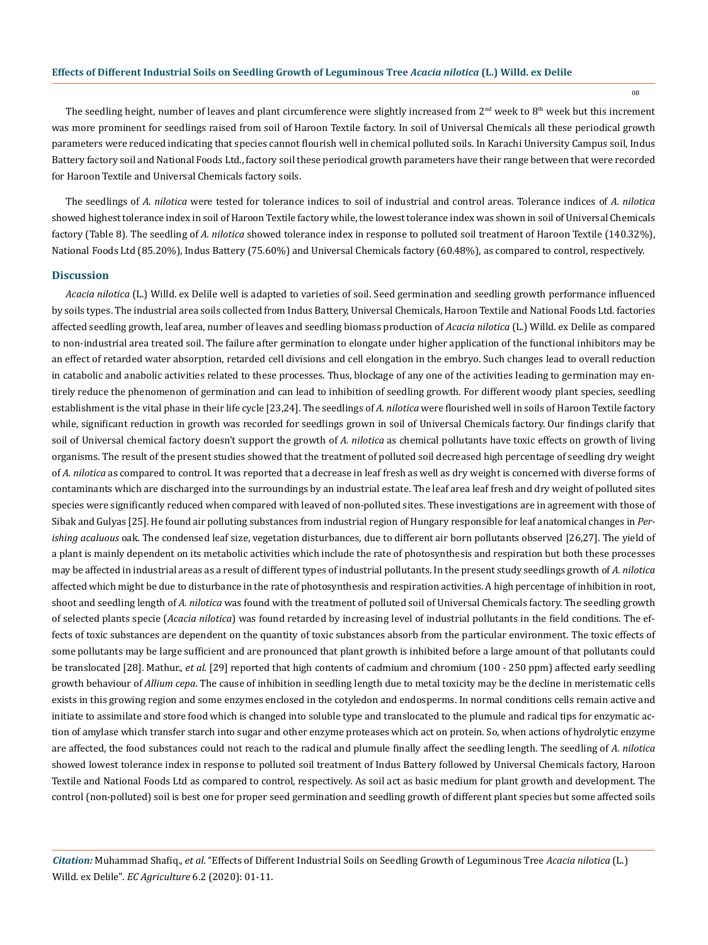The seedling height, number of leaves and plant circumference were slightly increased from  $2<sup>nd</sup>$  week to  $8<sup>th</sup>$  week but this increment was more prominent for seedlings raised from soil of Haroon Textile factory. In soil of Universal Chemicals all these periodical growth parameters were reduced indicating that species cannot flourish well in chemical polluted soils. In Karachi University Campus soil, Indus Battery factory soil and National Foods Ltd., factory soil these periodical growth parameters have their range between that were recorded for Haroon Textile and Universal Chemicals factory soils.

The seedlings of *A. nilotica* were tested for tolerance indices to soil of industrial and control areas. Tolerance indices of *A. nilotica*  showed highest tolerance index in soil of Haroon Textile factory while, the lowest tolerance index was shown in soil of Universal Chemicals factory (Table 8). The seedling of *A. nilotica* showed tolerance index in response to polluted soil treatment of Haroon Textile (140.32%), National Foods Ltd (85.20%), Indus Battery (75.60%) and Universal Chemicals factory (60.48%), as compared to control, respectively.

#### **Discussion**

*Acacia nilotica* (L.) Willd. ex Delile well is adapted to varieties of soil. Seed germination and seedling growth performance influenced by soils types. The industrial area soils collected from Indus Battery, Universal Chemicals, Haroon Textile and National Foods Ltd. factories affected seedling growth, leaf area, number of leaves and seedling biomass production of *Acacia nilotica* (L.) Willd. ex Delile as compared to non-industrial area treated soil. The failure after germination to elongate under higher application of the functional inhibitors may be an effect of retarded water absorption, retarded cell divisions and cell elongation in the embryo. Such changes lead to overall reduction in catabolic and anabolic activities related to these processes. Thus, blockage of any one of the activities leading to germination may entirely reduce the phenomenon of germination and can lead to inhibition of seedling growth. For different woody plant species, seedling establishment is the vital phase in their life cycle [23,24]. The seedlings of *A. nilotica* were flourished well in soils of Haroon Textile factory while, significant reduction in growth was recorded for seedlings grown in soil of Universal Chemicals factory. Our findings clarify that soil of Universal chemical factory doesn't support the growth of *A. nilotica* as chemical pollutants have toxic effects on growth of living organisms. The result of the present studies showed that the treatment of polluted soil decreased high percentage of seedling dry weight of *A. nilotica* as compared to control. It was reported that a decrease in leaf fresh as well as dry weight is concerned with diverse forms of contaminants which are discharged into the surroundings by an industrial estate. The leaf area leaf fresh and dry weight of polluted sites species were significantly reduced when compared with leaved of non-polluted sites. These investigations are in agreement with those of Sibak and Gulyas [25]. He found air polluting substances from industrial region of Hungary responsible for leaf anatomical changes in *Perishing acaluous* oak. The condensed leaf size, vegetation disturbances, due to different air born pollutants observed [26,27]. The yield of a plant is mainly dependent on its metabolic activities which include the rate of photosynthesis and respiration but both these processes may be affected in industrial areas as a result of different types of industrial pollutants. In the present study seedlings growth of *A. nilotica* affected which might be due to disturbance in the rate of photosynthesis and respiration activities. A high percentage of inhibition in root, shoot and seedling length of *A. nilotica* was found with the treatment of polluted soil of Universal Chemicals factory. The seedling growth of selected plants specie (*Acacia nilotica*) was found retarded by increasing level of industrial pollutants in the field conditions. The effects of toxic substances are dependent on the quantity of toxic substances absorb from the particular environment. The toxic effects of some pollutants may be large sufficient and are pronounced that plant growth is inhibited before a large amount of that pollutants could be translocated [28]. Mathur., *et al*. [29] reported that high contents of cadmium and chromium (100 - 250 ppm) affected early seedling growth behaviour of *Allium cepa*. The cause of inhibition in seedling length due to metal toxicity may be the decline in meristematic cells exists in this growing region and some enzymes enclosed in the cotyledon and endosperms. In normal conditions cells remain active and initiate to assimilate and store food which is changed into soluble type and translocated to the plumule and radical tips for enzymatic action of amylase which transfer starch into sugar and other enzyme proteases which act on protein. So, when actions of hydrolytic enzyme are affected, the food substances could not reach to the radical and plumule finally affect the seedling length. The seedling of *A. nilotica* showed lowest tolerance index in response to polluted soil treatment of Indus Battery followed by Universal Chemicals factory, Haroon Textile and National Foods Ltd as compared to control, respectively. As soil act as basic medium for plant growth and development. The control (non-polluted) soil is best one for proper seed germination and seedling growth of different plant species but some affected soils

*Citation:* Muhammad Shafiq., *et al*. "Effects of Different Industrial Soils on Seedling Growth of Leguminous Tree *Acacia nilotica* (L.) Willd. ex Delile". *EC Agriculture* 6.2 (2020): 01-11.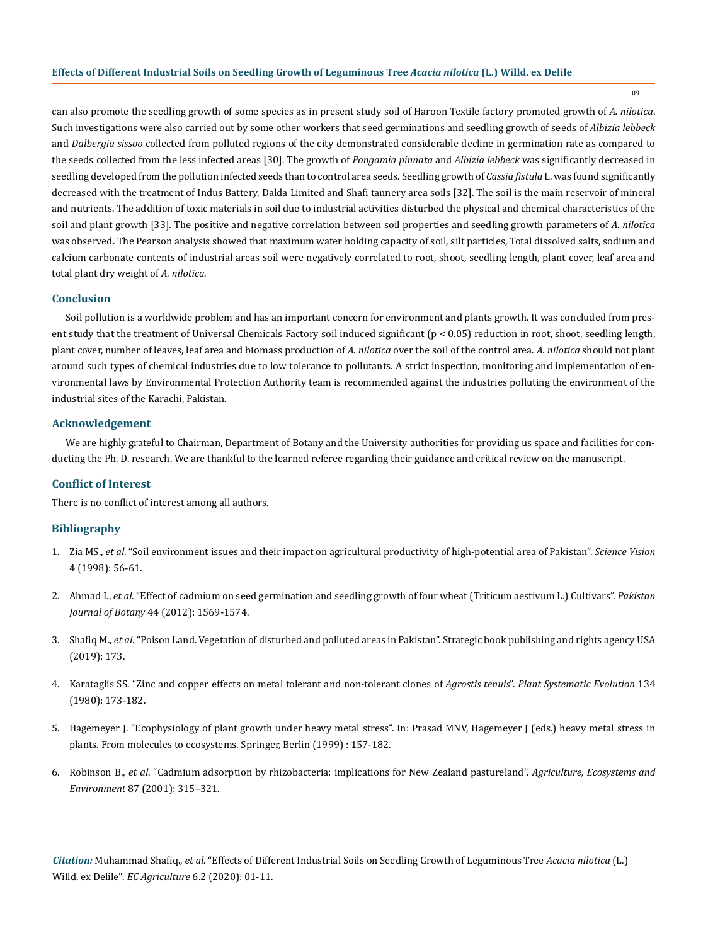09

can also promote the seedling growth of some species as in present study soil of Haroon Textile factory promoted growth of *A. nilotica*. Such investigations were also carried out by some other workers that seed germinations and seedling growth of seeds of *Albizia lebbeck* and *Dalbergia sissoo* collected from polluted regions of the city demonstrated considerable decline in germination rate as compared to the seeds collected from the less infected areas [30]. The growth of *Pongamia pinnata* and *Albizia lebbeck* was significantly decreased in seedling developed from the pollution infected seeds than to control area seeds. Seedling growth of *Cassia fistula* L. was found significantly decreased with the treatment of Indus Battery, Dalda Limited and Shafi tannery area soils [32]. The soil is the main reservoir of mineral and nutrients. The addition of toxic materials in soil due to industrial activities disturbed the physical and chemical characteristics of the soil and plant growth [33]. The positive and negative correlation between soil properties and seedling growth parameters of *A. nilotica* was observed. The Pearson analysis showed that maximum water holding capacity of soil, silt particles, Total dissolved salts, sodium and calcium carbonate contents of industrial areas soil were negatively correlated to root, shoot, seedling length, plant cover, leaf area and total plant dry weight of *A. nilotica*.

# **Conclusion**

Soil pollution is a worldwide problem and has an important concern for environment and plants growth. It was concluded from present study that the treatment of Universal Chemicals Factory soil induced significant (p < 0.05) reduction in root, shoot, seedling length, plant cover, number of leaves, leaf area and biomass production of *A. nilotica* over the soil of the control area. *A. nilotica* should not plant around such types of chemical industries due to low tolerance to pollutants. A strict inspection, monitoring and implementation of environmental laws by Environmental Protection Authority team is recommended against the industries polluting the environment of the industrial sites of the Karachi, Pakistan.

#### **Acknowledgement**

We are highly grateful to Chairman, Department of Botany and the University authorities for providing us space and facilities for conducting the Ph. D. research. We are thankful to the learned referee regarding their guidance and critical review on the manuscript.

#### **Conflict of Interest**

There is no conflict of interest among all authors.

# **Bibliography**

- 1. Zia MS., *et al*. "Soil environment issues and their impact on agricultural productivity of high-potential area of Pakistan". *Science Vision* 4 (1998): 56-61.
- 2. Ahmad I., *et al*[. "Effect of cadmium on seed germination and seedling growth of four wheat \(Triticum aestivum L.\) Cultivars".](https://www.researchgate.net/publication/236016436_Effect_of_cadmium_on_seed_germination_and_seedling_growth_of_four_wheat_Triticum_aestivum_L_cultivars) *Pakistan Journal of Botany* [44 \(2012\): 1569-1574.](https://www.researchgate.net/publication/236016436_Effect_of_cadmium_on_seed_germination_and_seedling_growth_of_four_wheat_Triticum_aestivum_L_cultivars)
- 3. Shafiq M., *et al*. "Poison Land. Vegetation of disturbed and polluted areas in Pakistan". Strategic book publishing and rights agency USA (2019): 173.
- 4. [Karataglis SS. "Zinc and copper effects on metal tolerant and non-tolerant clones of](https://link.springer.com/article/10.1007/BF00986797) *Agrostis tenuis*". *Plant Systematic Evolution* 134 [\(1980\): 173-182.](https://link.springer.com/article/10.1007/BF00986797)
- 5. [Hagemeyer J. "Ecophysiology of plant growth under heavy metal stress". In: Prasad MNV, Hagemeyer J \(eds.\) heavy metal stress in](https://link.springer.com/chapter/10.1007/978-3-662-07745-0_8) [plants. From molecules to ecosystems. Springer, Berlin \(1999\) : 157-182.](https://link.springer.com/chapter/10.1007/978-3-662-07745-0_8)
- 6. Robinson B., *et al*[. "Cadmium adsorption by rhizobacteria: implications for New Zealand pastureland".](https://www.sciencedirect.com/science/article/abs/pii/S0167880901001463) *Agriculture, Ecosystems and Environment* [87 \(2001\): 315–321.](https://www.sciencedirect.com/science/article/abs/pii/S0167880901001463)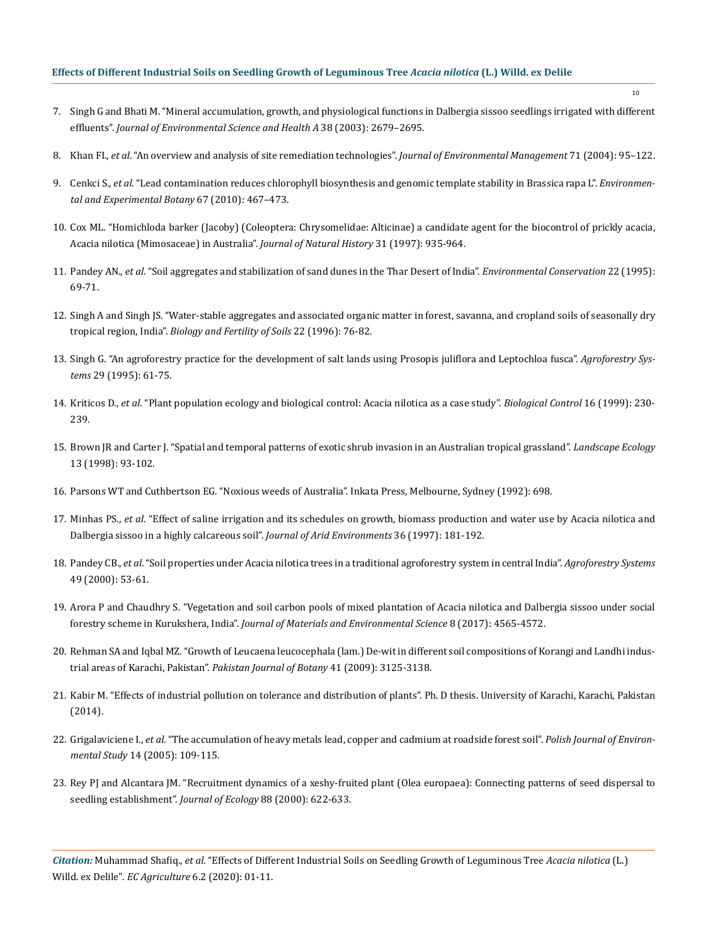- 7. [Singh G and Bhati M. "Mineral accumulation, growth, and physiological functions in Dalbergia sissoo seedlings irrigated with different](https://www.tandfonline.com/doi/abs/10.1081/ESE-120024456)  effluents". *[Journal of Environmental Science and Health A](https://www.tandfonline.com/doi/abs/10.1081/ESE-120024456)* 38 (2003): 2679–2695.
- 8. Khan FI., *et al*[. "An overview and analysis of site remediation technologies".](https://www.sciencedirect.com/science/article/pii/S0301479704000313) *Journal of Environmental Management* 71 (2004): 95–122.
- 9. Cenkci S., *et al*[. "Lead contamination reduces chlorophyll biosynthesis and genomic template stability in Brassica rapa L".](https://www.sciencedirect.com/science/article/abs/pii/S0098847209002020) *Environmen[tal and Experimental Botany](https://www.sciencedirect.com/science/article/abs/pii/S0098847209002020)* 67 (2010): 467–473.
- 10. [Cox ML. "Homichloda barker \(Jacoby\) \(Coleoptera: Chrysomelidae: Alticinae\) a candidate agent for the biocontrol of prickly acacia,](https://www.researchgate.net/publication/227696431_Rearing_and_release_of_Homichloda_barkeri_Jacoby_Coleoptera_Chrysomelidae_Alticinae_for_the_biological_control_of_prickly_acacia_Acacia_nilotica_ssp_indica_Mimosaceae_in_Australia) [Acacia nilotica \(Mimosaceae\) in Australia".](https://www.researchgate.net/publication/227696431_Rearing_and_release_of_Homichloda_barkeri_Jacoby_Coleoptera_Chrysomelidae_Alticinae_for_the_biological_control_of_prickly_acacia_Acacia_nilotica_ssp_indica_Mimosaceae_in_Australia) *Journal of Natural History* 31 (1997): 935-964.
- 11. Pandey AN., *et al*[. "Soil aggregates and stabilization of sand dunes in the Thar Desert of India".](https://www.cambridge.org/core/journals/environmental-conservation/article/soil-aggregates-and-stabilization-of-sand-dunes-in-the-thar-desert-of-india/EC27142B3F6BDC60B9D03F0C2773599E) *Environmental Conservation* 22 (1995): [69-71.](https://www.cambridge.org/core/journals/environmental-conservation/article/soil-aggregates-and-stabilization-of-sand-dunes-in-the-thar-desert-of-india/EC27142B3F6BDC60B9D03F0C2773599E)
- 12. [Singh A and Singh JS. "Water-stable aggregates and associated organic matter in forest, savanna, and cropland soils of seasonally dry](https://link.springer.com/article/10.1007/BF00384436) tropical region, India". *[Biology and Fertility of Soils](https://link.springer.com/article/10.1007/BF00384436)* 22 (1996): 76-82.
- 13. [Singh G. "An agroforestry practice for the development of salt lands using Prosopis juliflora and Leptochloa fusca".](https://link.springer.com/article/10.1007/BF00711282) *Agroforestry Systems* [29 \(1995\): 61-75.](https://link.springer.com/article/10.1007/BF00711282)
- 14. Kriticos D., *et al*[. "Plant population ecology and biological control: Acacia nilotica as a case study".](https://www.sciencedirect.com/science/article/abs/pii/S1049964499907466) *Biological Control* 16 (1999): 230- [239.](https://www.sciencedirect.com/science/article/abs/pii/S1049964499907466)
- 15. [Brown JR and Carter J. "Spatial and temporal patterns of exotic shrub invasion in an Australian tropical grassland".](https://link.springer.com/article/10.1023/A:1007939203931) *Landscape Ecology* [13 \(1998\): 93-102.](https://link.springer.com/article/10.1023/A:1007939203931)
- 16. [Parsons WT and Cuthbertson EG. "Noxious weeds of Australia". Inkata Press, Melbourne, Sydney \(1992\): 698.](https://catalogue.nla.gov.au/Record/2521594)
- 17. Minhas PS., *et al*[. "Effect of saline irrigation and its schedules on growth, biomass production and water use by Acacia nilotica and](https://www.researchgate.net/publication/248568460_Effect_of_saline_irrigation_and_its_schedules_on_growth_biomass_production_and_water_use_by_Acacia_nilotica_and_Dalbergia_sissoo_in_a_highly_calcareous_soil) [Dalbergia sissoo in a highly calcareous soil".](https://www.researchgate.net/publication/248568460_Effect_of_saline_irrigation_and_its_schedules_on_growth_biomass_production_and_water_use_by_Acacia_nilotica_and_Dalbergia_sissoo_in_a_highly_calcareous_soil) *Journal of Arid Environments* 36 (1997): 181-192.
- 18. Pandey CB., *et al*[. "Soil properties under Acacia nilotica trees in a traditional agroforestry system in central India".](https://www.researchgate.net/publication/226621289_Soil_properties_under_Acacia_nilotica_trees_in_a_traditional_agroforestry_system_in_central_India) *Agroforestry Systems* [49 \(2000\): 53-61.](https://www.researchgate.net/publication/226621289_Soil_properties_under_Acacia_nilotica_trees_in_a_traditional_agroforestry_system_in_central_India)
- 19. [Arora P and Chaudhry S. "Vegetation and soil carbon pools of mixed plantation of Acacia nilotica and Dalbergia sissoo under social](https://www.researchgate.net/publication/319931289_Vegetation_and_Soil_Carbon_Pools_of_Mixed_Plantation_of_Acacia_nilotica_and_Dalbergia_sissoo_under_Social_Forestry_Scheme_in_Kurukshetra_India) forestry scheme in Kurukshera, India". *[Journal of Materials and Environmental Science](https://www.researchgate.net/publication/319931289_Vegetation_and_Soil_Carbon_Pools_of_Mixed_Plantation_of_Acacia_nilotica_and_Dalbergia_sissoo_under_Social_Forestry_Scheme_in_Kurukshetra_India)* 8 (2017): 4565-4572.
- 20. [Rehman SA and Iqbal MZ. "Growth of Leucaena leucocephala \(lam.\) De-wit in different soil compositions of Korangi and Landhi indus](http://www.pakbs.org/pjbot/PDFs/41(6)/PJB41(6)3125.pdf)[trial areas of Karachi, Pakistan".](http://www.pakbs.org/pjbot/PDFs/41(6)/PJB41(6)3125.pdf) *Pakistan Journal of Botany* 41 (2009): 3125-3138.
- 21. Kabir M. "Effects of industrial pollution on tolerance and distribution of plants". Ph. D thesis. University of Karachi, Karachi, Pakistan (2014).
- 22. Grigalaviciene I., *et al*[. "The accumulation of heavy metals lead, copper and cadmium at roadside forest soil".](http://www.pjoes.com/The-Accumulation-of-Heavy-Metals-r-nPb-Cu-and-Cd-at-Roadside-Forest-Soil,87736,0,2.html) *Polish Journal of Environmental Study* [14 \(2005\): 109-115.](http://www.pjoes.com/The-Accumulation-of-Heavy-Metals-r-nPb-Cu-and-Cd-at-Roadside-Forest-Soil,87736,0,2.html)
- 23. [Rey PJ and Alcantara JM. "Recruitment dynamics of a xeshy-fruited plant \(Olea europaea\): Connecting patterns of seed dispersal to](https://besjournals.onlinelibrary.wiley.com/doi/10.1046/j.1365-2745.2000.00472.x) [seedling establishment".](https://besjournals.onlinelibrary.wiley.com/doi/10.1046/j.1365-2745.2000.00472.x) *Journal of Ecology* 88 (2000): 622-633.

*Citation:* Muhammad Shafiq., *et al*. "Effects of Different Industrial Soils on Seedling Growth of Leguminous Tree *Acacia nilotica* (L.) Willd. ex Delile". *EC Agriculture* 6.2 (2020): 01-11.